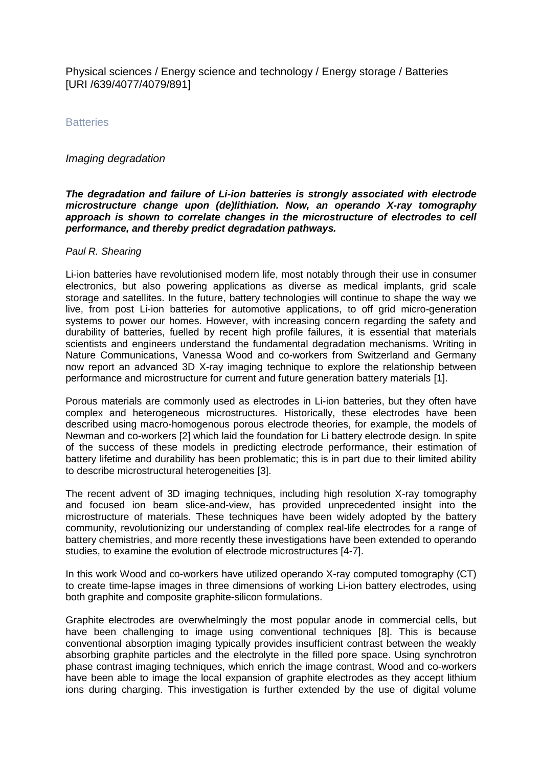Physical sciences / Energy science and technology / Energy storage / Batteries [URI /639/4077/4079/891]

**Batteries** 

## *Imaging degradation*

## *The degradation and failure of Li-ion batteries is strongly associated with electrode microstructure change upon (de)lithiation. Now, an operando X-ray tomography approach is shown to correlate changes in the microstructure of electrodes to cell performance, and thereby predict degradation pathways.*

## *Paul R. Shearing*

Li-ion batteries have revolutionised modern life, most notably through their use in consumer electronics, but also powering applications as diverse as medical implants, grid scale storage and satellites. In the future, battery technologies will continue to shape the way we live, from post Li-ion batteries for automotive applications, to off grid micro-generation systems to power our homes. However, with increasing concern regarding the safety and durability of batteries, fuelled by recent high profile failures, it is essential that materials scientists and engineers understand the fundamental degradation mechanisms. Writing in Nature Communications, Vanessa Wood and co-workers from Switzerland and Germany now report an advanced 3D X-ray imaging technique to explore the relationship between performance and microstructure for current and future generation battery materials [1].

Porous materials are commonly used as electrodes in Li-ion batteries, but they often have complex and heterogeneous microstructures. Historically, these electrodes have been described using macro-homogenous porous electrode theories, for example, the models of Newman and co-workers [2] which laid the foundation for Li battery electrode design. In spite of the success of these models in predicting electrode performance, their estimation of battery lifetime and durability has been problematic; this is in part due to their limited ability to describe microstructural heterogeneities [3].

The recent advent of 3D imaging techniques, including high resolution X-ray tomography and focused ion beam slice-and-view, has provided unprecedented insight into the microstructure of materials. These techniques have been widely adopted by the battery community, revolutionizing our understanding of complex real-life electrodes for a range of battery chemistries, and more recently these investigations have been extended to operando studies, to examine the evolution of electrode microstructures [4-7].

In this work Wood and co-workers have utilized operando X-ray computed tomography (CT) to create time-lapse images in three dimensions of working Li-ion battery electrodes, using both graphite and composite graphite-silicon formulations.

Graphite electrodes are overwhelmingly the most popular anode in commercial cells, but have been challenging to image using conventional techniques [8]. This is because conventional absorption imaging typically provides insufficient contrast between the weakly absorbing graphite particles and the electrolyte in the filled pore space. Using synchrotron phase contrast imaging techniques, which enrich the image contrast, Wood and co-workers have been able to image the local expansion of graphite electrodes as they accept lithium ions during charging. This investigation is further extended by the use of digital volume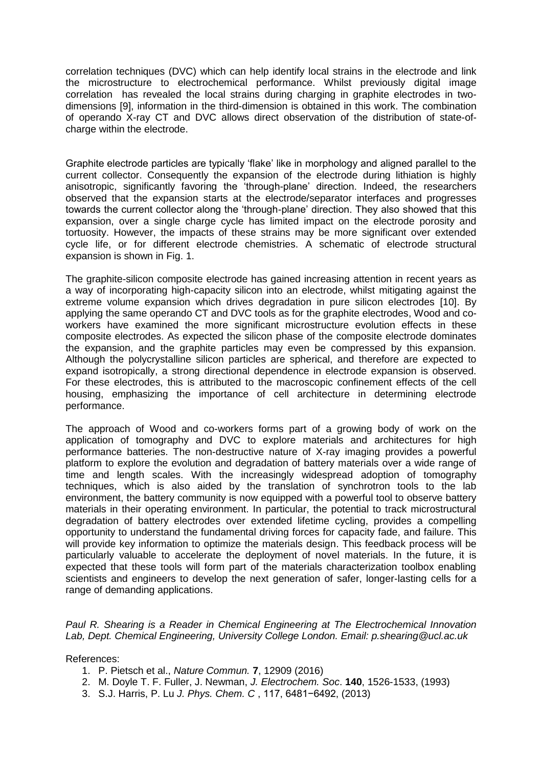correlation techniques (DVC) which can help identify local strains in the electrode and link the microstructure to electrochemical performance. Whilst previously digital image correlation has revealed the local strains during charging in graphite electrodes in twodimensions [9], information in the third-dimension is obtained in this work. The combination of operando X-ray CT and DVC allows direct observation of the distribution of state-ofcharge within the electrode.

Graphite electrode particles are typically 'flake' like in morphology and aligned parallel to the current collector. Consequently the expansion of the electrode during lithiation is highly anisotropic, significantly favoring the 'through-plane' direction. Indeed, the researchers observed that the expansion starts at the electrode/separator interfaces and progresses towards the current collector along the 'through-plane' direction. They also showed that this expansion, over a single charge cycle has limited impact on the electrode porosity and tortuosity. However, the impacts of these strains may be more significant over extended cycle life, or for different electrode chemistries. A schematic of electrode structural expansion is shown in Fig. 1.

The graphite-silicon composite electrode has gained increasing attention in recent years as a way of incorporating high-capacity silicon into an electrode, whilst mitigating against the extreme volume expansion which drives degradation in pure silicon electrodes [10]. By applying the same operando CT and DVC tools as for the graphite electrodes, Wood and coworkers have examined the more significant microstructure evolution effects in these composite electrodes. As expected the silicon phase of the composite electrode dominates the expansion, and the graphite particles may even be compressed by this expansion. Although the polycrystalline silicon particles are spherical, and therefore are expected to expand isotropically, a strong directional dependence in electrode expansion is observed. For these electrodes, this is attributed to the macroscopic confinement effects of the cell housing, emphasizing the importance of cell architecture in determining electrode performance.

The approach of Wood and co-workers forms part of a growing body of work on the application of tomography and DVC to explore materials and architectures for high performance batteries. The non-destructive nature of X-ray imaging provides a powerful platform to explore the evolution and degradation of battery materials over a wide range of time and length scales. With the increasingly widespread adoption of tomography techniques, which is also aided by the translation of synchrotron tools to the lab environment, the battery community is now equipped with a powerful tool to observe battery materials in their operating environment. In particular, the potential to track microstructural degradation of battery electrodes over extended lifetime cycling, provides a compelling opportunity to understand the fundamental driving forces for capacity fade, and failure. This will provide key information to optimize the materials design. This feedback process will be particularly valuable to accelerate the deployment of novel materials. In the future, it is expected that these tools will form part of the materials characterization toolbox enabling scientists and engineers to develop the next generation of safer, longer-lasting cells for a range of demanding applications.

*Paul R. Shearing is a Reader in Chemical Engineering at The Electrochemical Innovation Lab, Dept. Chemical Engineering, University College London. Email: p.shearing@ucl.ac.uk*

References:

- 1. P. Pietsch et al., *Nature Commun.* **7**, 12909 (2016)
- 2. M. Doyle T. F. Fuller, J. Newman, *J. Electrochem. Soc*. **140**, 1526-1533, (1993)
- 3. S.J. Harris, P. Lu *J. Phys. Chem. C* , 117, 6481−6492, (2013)